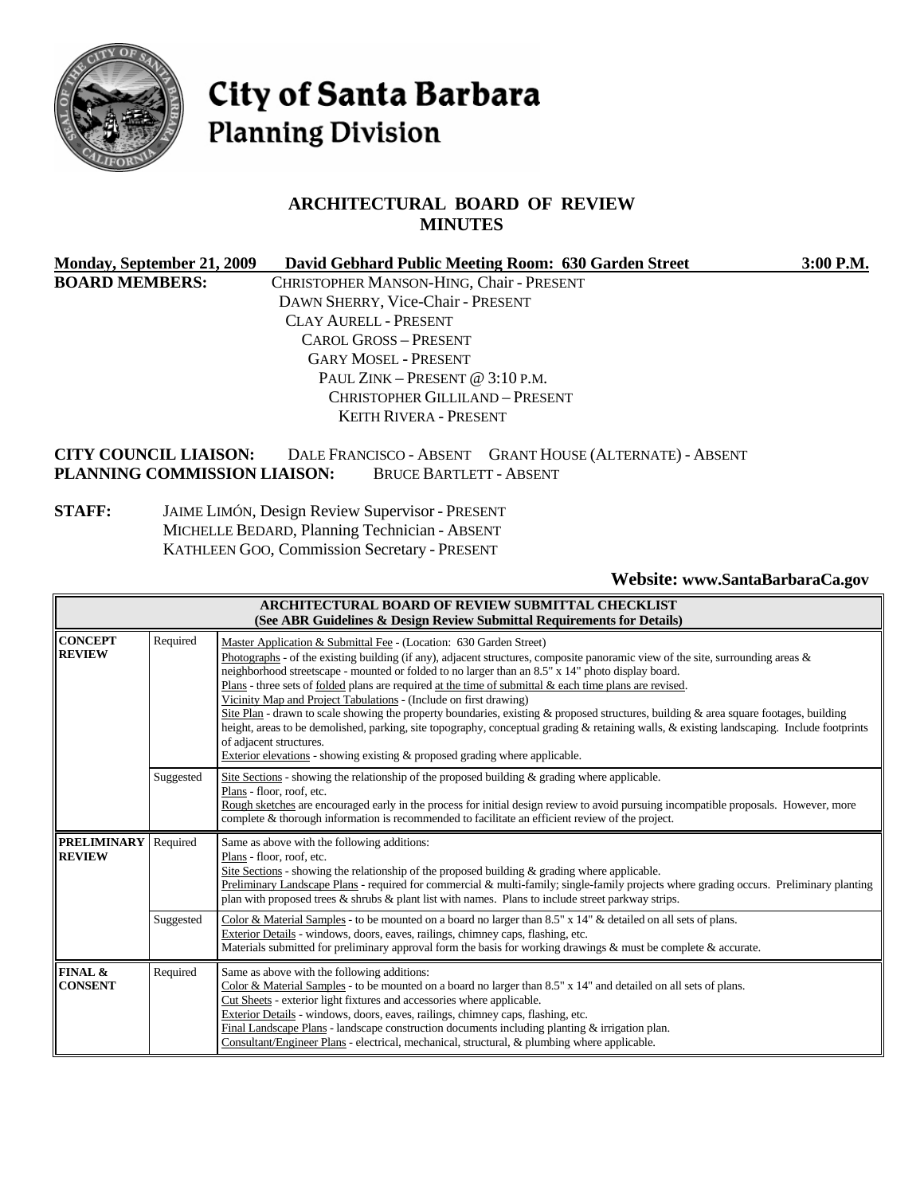

# City of Santa Barbara **Planning Division**

# **ARCHITECTURAL BOARD OF REVIEW MINUTES**

|                                   | Monday, September 21, 2009                                   |  |                                                 | David Gebhard Public Meeting Room: 630 Garden Street |                                                          | 3:00 P.M. |
|-----------------------------------|--------------------------------------------------------------|--|-------------------------------------------------|------------------------------------------------------|----------------------------------------------------------|-----------|
| <b>BOARD MEMBERS:</b>             |                                                              |  | CHRISTOPHER MANSON-HING, Chair - PRESENT        |                                                      |                                                          |           |
|                                   |                                                              |  | DAWN SHERRY, Vice-Chair - PRESENT               |                                                      |                                                          |           |
| <b>CLAY AURELL - PRESENT</b>      |                                                              |  |                                                 |                                                      |                                                          |           |
| CAROL GROSS - PRESENT             |                                                              |  |                                                 |                                                      |                                                          |           |
| <b>GARY MOSEL - PRESENT</b>       |                                                              |  |                                                 |                                                      |                                                          |           |
| PAUL ZINK – PRESENT @ $3:10$ P.M. |                                                              |  |                                                 |                                                      |                                                          |           |
|                                   |                                                              |  | <b>CHRISTOPHER GILLILAND - PRESENT</b>          |                                                      |                                                          |           |
|                                   |                                                              |  | <b>KEITH RIVERA - PRESENT</b>                   |                                                      |                                                          |           |
|                                   | <b>CITY COUNCIL LIAISON:</b><br>PLANNING COMMISSION LIAISON: |  | <b>BRUCE BARTLETT - ABSENT</b>                  |                                                      | DALE FRANCISCO - ABSENT GRANT HOUSE (ALTERNATE) - ABSENT |           |
| <b>STAFF:</b>                     |                                                              |  | JAIME LIMÓN, Design Review Supervisor - PRESENT |                                                      |                                                          |           |
|                                   |                                                              |  | MICHELLE BEDARD, Planning Technician - ABSENT   |                                                      |                                                          |           |
|                                   |                                                              |  | KATHLEEN GOO, Commission Secretary - PRESENT    |                                                      |                                                          |           |
|                                   |                                                              |  |                                                 |                                                      | Website: www.SantaBarbaraCa.gov                          |           |

|                                     |           | ARCHITECTURAL BOARD OF REVIEW SUBMITTAL CHECKLIST<br>(See ABR Guidelines & Design Review Submittal Requirements for Details)                                                                                                                                                                                                                                                                                                                                                                                                                                                                                                                                                                                                                                                                                                                                                                             |
|-------------------------------------|-----------|----------------------------------------------------------------------------------------------------------------------------------------------------------------------------------------------------------------------------------------------------------------------------------------------------------------------------------------------------------------------------------------------------------------------------------------------------------------------------------------------------------------------------------------------------------------------------------------------------------------------------------------------------------------------------------------------------------------------------------------------------------------------------------------------------------------------------------------------------------------------------------------------------------|
| <b>CONCEPT</b><br><b>REVIEW</b>     | Required  | Master Application & Submittal Fee - (Location: 630 Garden Street)<br>Photographs - of the existing building (if any), adjacent structures, composite panoramic view of the site, surrounding areas $\&$<br>neighborhood streetscape - mounted or folded to no larger than an 8.5" x 14" photo display board.<br>Plans - three sets of <u>folded</u> plans are required at the time of submittal & each time plans are revised.<br>Vicinity Map and Project Tabulations - (Include on first drawing)<br>Site Plan - drawn to scale showing the property boundaries, existing & proposed structures, building & area square footages, building<br>height, areas to be demolished, parking, site topography, conceptual grading & retaining walls, & existing landscaping. Include footprints<br>of adjacent structures.<br>Exterior elevations - showing existing $\&$ proposed grading where applicable. |
|                                     | Suggested | Site Sections - showing the relationship of the proposed building $\&$ grading where applicable.<br>Plans - floor, roof, etc.<br>Rough sketches are encouraged early in the process for initial design review to avoid pursuing incompatible proposals. However, more<br>complete & thorough information is recommended to facilitate an efficient review of the project.                                                                                                                                                                                                                                                                                                                                                                                                                                                                                                                                |
| <b>PRELIMINARY</b><br><b>REVIEW</b> | Required  | Same as above with the following additions:<br>Plans - floor, roof, etc.<br>Site Sections - showing the relationship of the proposed building $\&$ grading where applicable.<br>Preliminary Landscape Plans - required for commercial & multi-family; single-family projects where grading occurs. Preliminary planting<br>plan with proposed trees & shrubs & plant list with names. Plans to include street parkway strips.                                                                                                                                                                                                                                                                                                                                                                                                                                                                            |
|                                     | Suggested | Color & Material Samples - to be mounted on a board no larger than 8.5" x 14" & detailed on all sets of plans.<br>Exterior Details - windows, doors, eaves, railings, chimney caps, flashing, etc.<br>Materials submitted for preliminary approval form the basis for working drawings & must be complete & accurate.                                                                                                                                                                                                                                                                                                                                                                                                                                                                                                                                                                                    |
| FINAL &<br><b>CONSENT</b>           | Required  | Same as above with the following additions:<br>Color & Material Samples - to be mounted on a board no larger than 8.5" x 14" and detailed on all sets of plans.<br>Cut Sheets - exterior light fixtures and accessories where applicable.<br>Exterior Details - windows, doors, eaves, railings, chimney caps, flashing, etc.<br>Final Landscape Plans - landscape construction documents including planting $\&$ irrigation plan.<br>Consultant/Engineer Plans - electrical, mechanical, structural, & plumbing where applicable.                                                                                                                                                                                                                                                                                                                                                                       |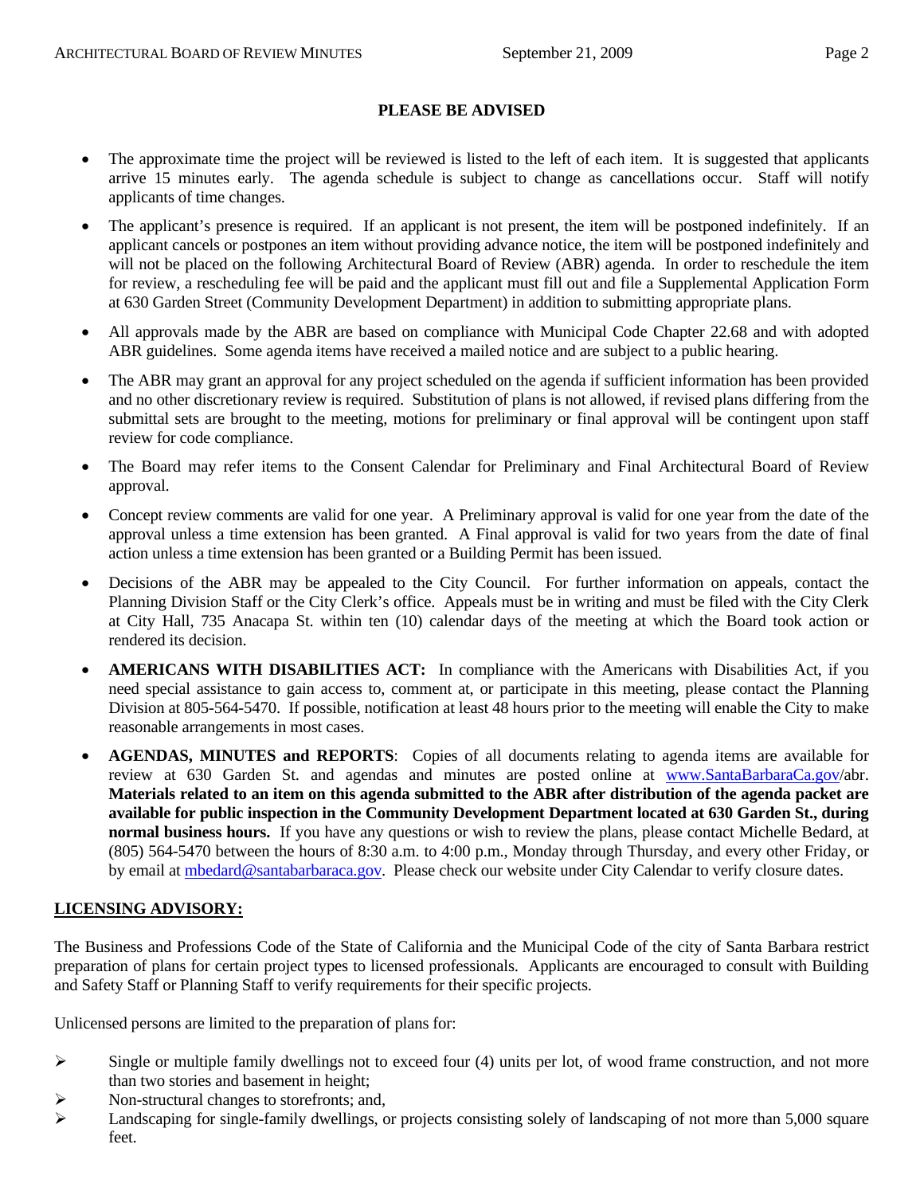#### **PLEASE BE ADVISED**

- The approximate time the project will be reviewed is listed to the left of each item. It is suggested that applicants arrive 15 minutes early. The agenda schedule is subject to change as cancellations occur. Staff will notify applicants of time changes.
- The applicant's presence is required. If an applicant is not present, the item will be postponed indefinitely. If an applicant cancels or postpones an item without providing advance notice, the item will be postponed indefinitely and will not be placed on the following Architectural Board of Review (ABR) agenda. In order to reschedule the item for review, a rescheduling fee will be paid and the applicant must fill out and file a Supplemental Application Form at 630 Garden Street (Community Development Department) in addition to submitting appropriate plans.
- All approvals made by the ABR are based on compliance with Municipal Code Chapter 22.68 and with adopted ABR guidelines. Some agenda items have received a mailed notice and are subject to a public hearing.
- The ABR may grant an approval for any project scheduled on the agenda if sufficient information has been provided and no other discretionary review is required. Substitution of plans is not allowed, if revised plans differing from the submittal sets are brought to the meeting, motions for preliminary or final approval will be contingent upon staff review for code compliance.
- The Board may refer items to the Consent Calendar for Preliminary and Final Architectural Board of Review approval.
- Concept review comments are valid for one year. A Preliminary approval is valid for one year from the date of the approval unless a time extension has been granted. A Final approval is valid for two years from the date of final action unless a time extension has been granted or a Building Permit has been issued.
- Decisions of the ABR may be appealed to the City Council. For further information on appeals, contact the Planning Division Staff or the City Clerk's office. Appeals must be in writing and must be filed with the City Clerk at City Hall, 735 Anacapa St. within ten (10) calendar days of the meeting at which the Board took action or rendered its decision.
- **AMERICANS WITH DISABILITIES ACT:** In compliance with the Americans with Disabilities Act, if you need special assistance to gain access to, comment at, or participate in this meeting, please contact the Planning Division at 805-564-5470. If possible, notification at least 48 hours prior to the meeting will enable the City to make reasonable arrangements in most cases.
- **AGENDAS, MINUTES and REPORTS**: Copies of all documents relating to agenda items are available for review at 630 Garden St. and agendas and minutes are posted online at [www.SantaBarbaraCa.gov/](http://www.santabarbaraca.gov/)abr. **Materials related to an item on this agenda submitted to the ABR after distribution of the agenda packet are available for public inspection in the Community Development Department located at 630 Garden St., during normal business hours.** If you have any questions or wish to review the plans, please contact Michelle Bedard, at (805) 564-5470 between the hours of 8:30 a.m. to 4:00 p.m., Monday through Thursday, and every other Friday, or by email at [mbedard@santabarbaraca.gov](mailto:mbedard@santabarbaraca.gov). Please check our website under City Calendar to verify closure dates.

#### **LICENSING ADVISORY:**

The Business and Professions Code of the State of California and the Municipal Code of the city of Santa Barbara restrict preparation of plans for certain project types to licensed professionals. Applicants are encouraged to consult with Building and Safety Staff or Planning Staff to verify requirements for their specific projects.

Unlicensed persons are limited to the preparation of plans for:

- $\triangleright$  Single or multiple family dwellings not to exceed four (4) units per lot, of wood frame construction, and not more than two stories and basement in height;
- ¾ Non-structural changes to storefronts; and,
- $\blacktriangleright$  Landscaping for single-family dwellings, or projects consisting solely of landscaping of not more than 5,000 square feet.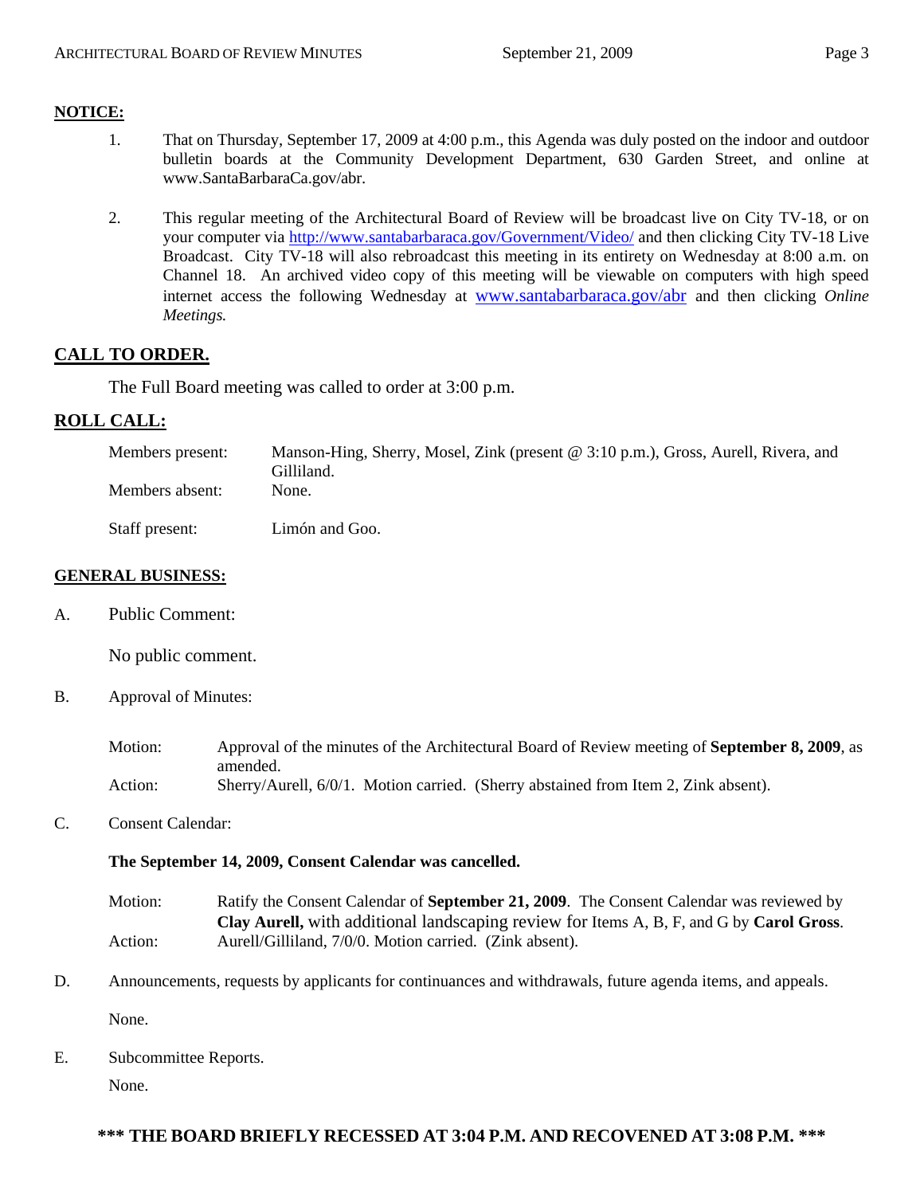### **NOTICE:**

- 1. That on Thursday, September 17, 2009 at 4:00 p.m., this Agenda was duly posted on the indoor and outdoor bulletin boards at the Community Development Department, 630 Garden Street, and online at [www.SantaBarbaraCa.gov/abr.](http://www.santabarbaraca.gov/abr)
- 2. This regular meeting of the Architectural Board of Review will be broadcast live on City TV-18, or on your computer via <http://www.santabarbaraca.gov/Government/Video/> and then clicking City TV-18 Live Broadcast. City TV-18 will also rebroadcast this meeting in its entirety on Wednesday at 8:00 a.m. on Channel 18. An archived video copy of this meeting will be viewable on computers with high speed internet access the following Wednesday at [www.santabarbaraca.gov/abr](http://www.santabarbaraca.gov/abr) and then clicking *Online Meetings.*

## **CALL TO ORDER.**

The Full Board meeting was called to order at 3:00 p.m.

## **ROLL CALL:**

| Members present: | Manson-Hing, Sherry, Mosel, Zink (present @ 3:10 p.m.), Gross, Aurell, Rivera, and<br>Gilliland. |
|------------------|--------------------------------------------------------------------------------------------------|
| Members absent:  | None.                                                                                            |
| Staff present:   | Limón and Goo.                                                                                   |

#### **GENERAL BUSINESS:**

A. Public Comment:

No public comment.

- B. Approval of Minutes:
	- Motion: Approval of the minutes of the Architectural Board of Review meeting of **September 8, 2009**, as amended. Action: Sherry/Aurell, 6/0/1. Motion carried. (Sherry abstained from Item 2, Zink absent).
- C. Consent Calendar:

#### **The September 14, 2009, Consent Calendar was cancelled.**

- Motion: Ratify the Consent Calendar of **September 21, 2009**. The Consent Calendar was reviewed by **Clay Aurell,** with additional landscaping review for Items A, B, F, and G by **Carol Gross**. Action: Aurell/Gilliland, 7/0/0. Motion carried. (Zink absent).
- D. Announcements, requests by applicants for continuances and withdrawals, future agenda items, and appeals.

None.

E. Subcommittee Reports.

None.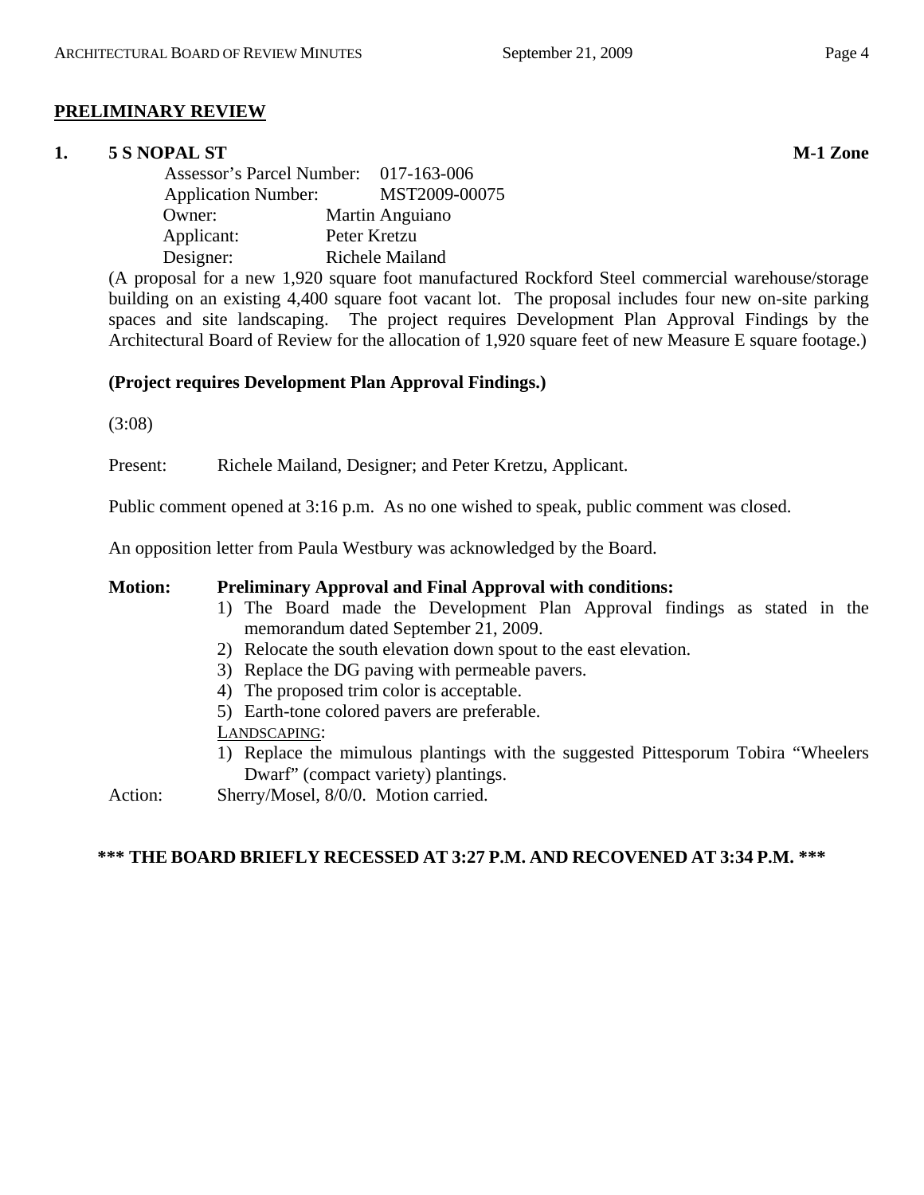# **PRELIMINARY REVIEW**

# **1.** 5 S NOPAL ST M-1 Zone

 Assessor's Parcel Number: 017-163-006 Application Number: MST2009-00075 Owner: Martin Anguiano Applicant: Peter Kretzu Designer: Richele Mailand

(A proposal for a new 1,920 square foot manufactured Rockford Steel commercial warehouse/storage building on an existing 4,400 square foot vacant lot. The proposal includes four new on-site parking spaces and site landscaping. The project requires Development Plan Approval Findings by the Architectural Board of Review for the allocation of 1,920 square feet of new Measure E square footage.)

# **(Project requires Development Plan Approval Findings.)**

(3:08)

Present: Richele Mailand, Designer; and Peter Kretzu, Applicant.

Public comment opened at 3:16 p.m. As no one wished to speak, public comment was closed.

An opposition letter from Paula Westbury was acknowledged by the Board.

#### **Motion: Preliminary Approval and Final Approval with conditions:**

- 1) The Board made the Development Plan Approval findings as stated in the memorandum dated September 21, 2009.
- 2) Relocate the south elevation down spout to the east elevation.
- 3) Replace the DG paving with permeable pavers.
- 4) The proposed trim color is acceptable.
- 5) Earth-tone colored pavers are preferable.

LANDSCAPING:

- 1) Replace the mimulous plantings with the suggested Pittesporum Tobira "Wheelers Dwarf" (compact variety) plantings.
- Action: Sherry/Mosel, 8/0/0. Motion carried.

#### **\*\*\* THE BOARD BRIEFLY RECESSED AT 3:27 P.M. AND RECOVENED AT 3:34 P.M. \*\*\***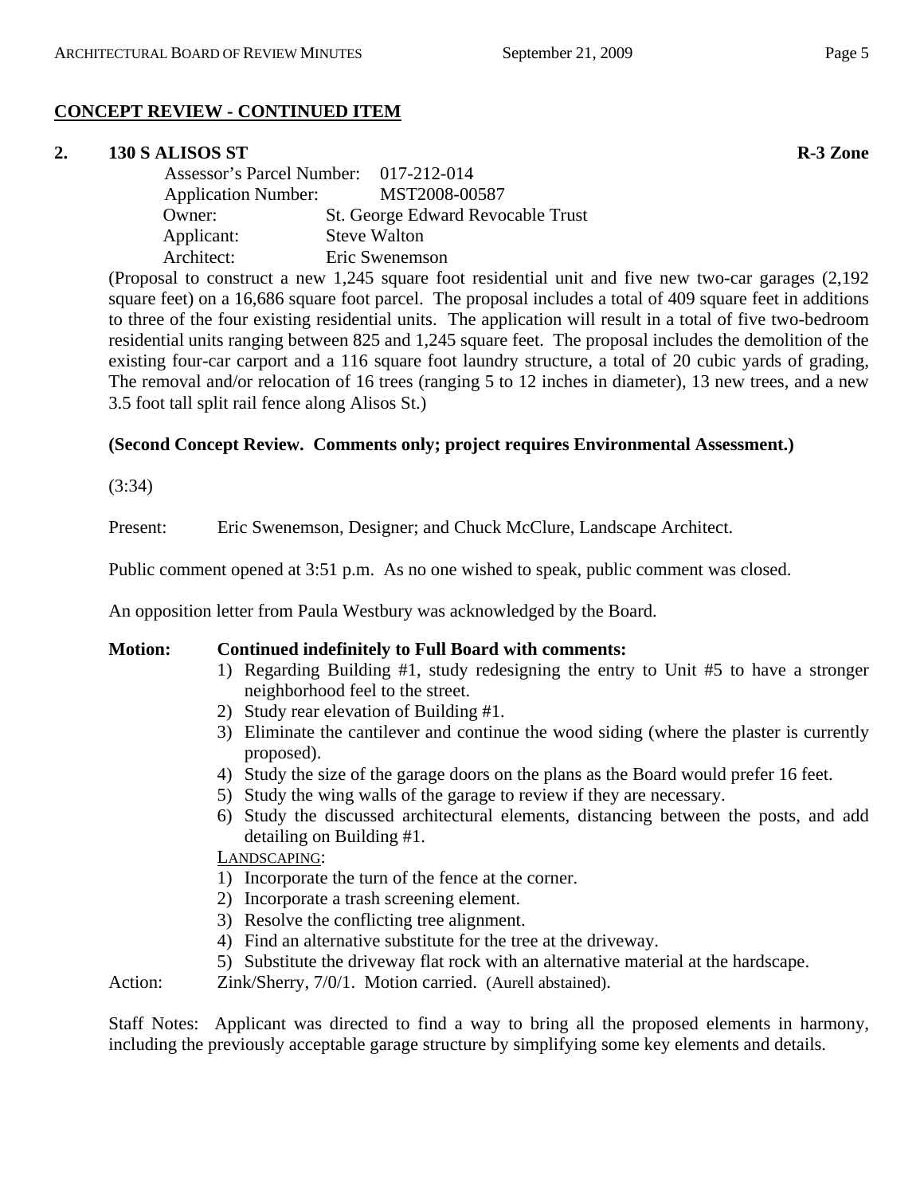# **CONCEPT REVIEW - CONTINUED ITEM**

### **2. 130 S ALISOS ST R-3 Zone**

| Assessor's Parcel Number: 017-212-014 |                                   |
|---------------------------------------|-----------------------------------|
| <b>Application Number:</b>            | MST2008-00587                     |
| Owner:                                | St. George Edward Revocable Trust |
| Applicant:                            | <b>Steve Walton</b>               |
| Architect:                            | Eric Swenemson                    |

(Proposal to construct a new 1,245 square foot residential unit and five new two-car garages (2,192 square feet) on a 16,686 square foot parcel. The proposal includes a total of 409 square feet in additions to three of the four existing residential units. The application will result in a total of five two-bedroom residential units ranging between 825 and 1,245 square feet. The proposal includes the demolition of the existing four-car carport and a 116 square foot laundry structure, a total of 20 cubic yards of grading, The removal and/or relocation of 16 trees (ranging 5 to 12 inches in diameter), 13 new trees, and a new 3.5 foot tall split rail fence along Alisos St.)

## **(Second Concept Review. Comments only; project requires Environmental Assessment.)**

(3:34)

Present: Eric Swenemson, Designer; and Chuck McClure, Landscape Architect.

Public comment opened at 3:51 p.m. As no one wished to speak, public comment was closed.

An opposition letter from Paula Westbury was acknowledged by the Board.

#### **Motion: Continued indefinitely to Full Board with comments:**

- 1) Regarding Building #1, study redesigning the entry to Unit #5 to have a stronger neighborhood feel to the street.
- 2) Study rear elevation of Building #1.
- 3) Eliminate the cantilever and continue the wood siding (where the plaster is currently proposed).
- 4) Study the size of the garage doors on the plans as the Board would prefer 16 feet.
- 5) Study the wing walls of the garage to review if they are necessary.
- 6) Study the discussed architectural elements, distancing between the posts, and add detailing on Building #1.

#### LANDSCAPING:

- 1) Incorporate the turn of the fence at the corner.
- 2) Incorporate a trash screening element.
- 3) Resolve the conflicting tree alignment.
- 4) Find an alternative substitute for the tree at the driveway.
- 5) Substitute the driveway flat rock with an alternative material at the hardscape.

Action: Zink/Sherry, 7/0/1. Motion carried. (Aurell abstained).

Staff Notes: Applicant was directed to find a way to bring all the proposed elements in harmony, including the previously acceptable garage structure by simplifying some key elements and details.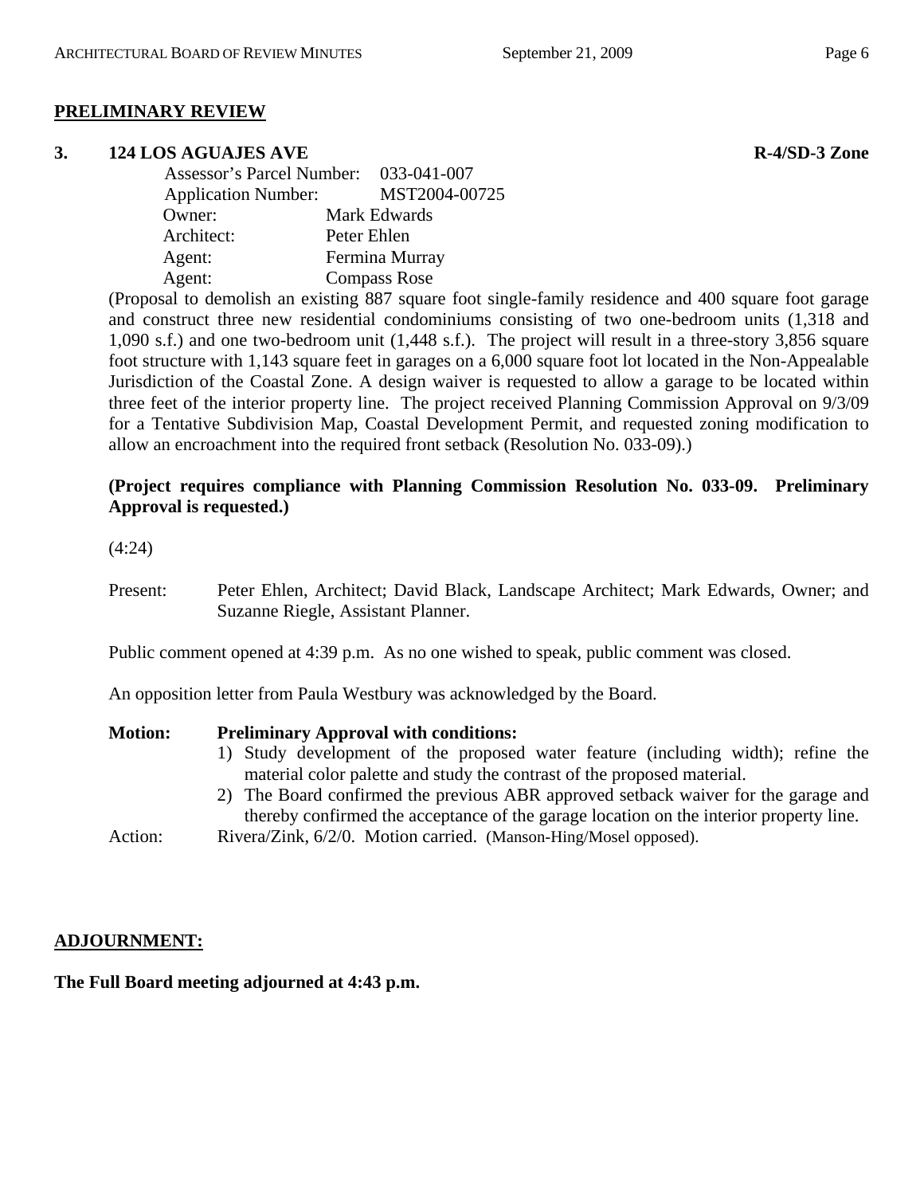## **PRELIMINARY REVIEW**

#### **3.** 124 LOS AGUAJES AVE R-4/SD-3 Zone

| Assessor's Parcel Number: 033-041-007 |                     |
|---------------------------------------|---------------------|
| <b>Application Number:</b>            | MST2004-00725       |
| Owner:                                | Mark Edwards        |
| Architect:                            | Peter Ehlen         |
| Agent:                                | Fermina Murray      |
| Agent:                                | <b>Compass Rose</b> |

(Proposal to demolish an existing 887 square foot single-family residence and 400 square foot garage and construct three new residential condominiums consisting of two one-bedroom units (1,318 and 1,090 s.f.) and one two-bedroom unit (1,448 s.f.). The project will result in a three-story 3,856 square foot structure with 1,143 square feet in garages on a 6,000 square foot lot located in the Non-Appealable Jurisdiction of the Coastal Zone. A design waiver is requested to allow a garage to be located within three feet of the interior property line. The project received Planning Commission Approval on 9/3/09 for a Tentative Subdivision Map, Coastal Development Permit, and requested zoning modification to allow an encroachment into the required front setback (Resolution No. 033-09).)

#### **(Project requires compliance with Planning Commission Resolution No. 033-09. Preliminary Approval is requested.)**

(4:24)

Present: Peter Ehlen, Architect; David Black, Landscape Architect; Mark Edwards, Owner; and Suzanne Riegle, Assistant Planner.

Public comment opened at 4:39 p.m. As no one wished to speak, public comment was closed.

An opposition letter from Paula Westbury was acknowledged by the Board.

# **Motion: Preliminary Approval with conditions:**  1) Study development of the proposed water feature (including width); refine the material color palette and study the contrast of the proposed material. 2) The Board confirmed the previous ABR approved setback waiver for the garage and thereby confirmed the acceptance of the garage location on the interior property line. Action: Rivera/Zink, 6/2/0. Motion carried. (Manson-Hing/Mosel opposed).

#### **ADJOURNMENT:**

**The Full Board meeting adjourned at 4:43 p.m.**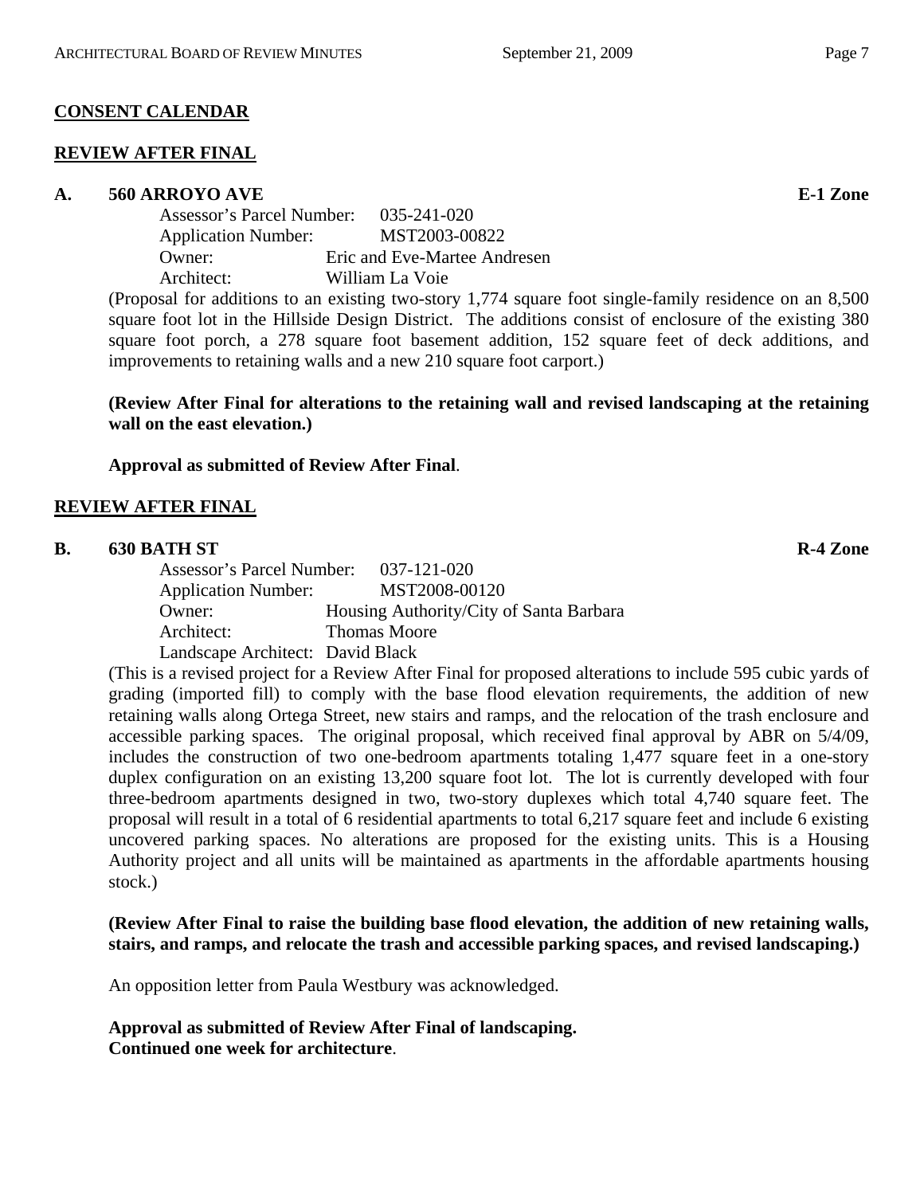### **CONSENT CALENDAR**

#### **REVIEW AFTER FINAL**

#### **A. 560 ARROYO AVE E-1 Zone**

| Assessor's Parcel Number:<br>035-241-020    |
|---------------------------------------------|
| MST2003-00822<br><b>Application Number:</b> |
| Eric and Eve-Martee Andresen                |
| William La Voie                             |
|                                             |

(Proposal for additions to an existing two-story 1,774 square foot single-family residence on an 8,500 square foot lot in the Hillside Design District. The additions consist of enclosure of the existing 380 square foot porch, a 278 square foot basement addition, 152 square feet of deck additions, and improvements to retaining walls and a new 210 square foot carport.)

### **(Review After Final for alterations to the retaining wall and revised landscaping at the retaining wall on the east elevation.)**

### **Approval as submitted of Review After Final**.

### **REVIEW AFTER FINAL**

#### **B.** 630 BATH ST R-4 Zone

Assessor's Parcel Number: 037-121-020 Application Number: MST2008-00120 Owner: Housing Authority/City of Santa Barbara Architect: Thomas Moore Landscape Architect: David Black

(This is a revised project for a Review After Final for proposed alterations to include 595 cubic yards of grading (imported fill) to comply with the base flood elevation requirements, the addition of new retaining walls along Ortega Street, new stairs and ramps, and the relocation of the trash enclosure and accessible parking spaces. The original proposal, which received final approval by ABR on 5/4/09, includes the construction of two one-bedroom apartments totaling 1,477 square feet in a one-story duplex configuration on an existing 13,200 square foot lot. The lot is currently developed with four three-bedroom apartments designed in two, two-story duplexes which total 4,740 square feet. The proposal will result in a total of 6 residential apartments to total 6,217 square feet and include 6 existing uncovered parking spaces. No alterations are proposed for the existing units. This is a Housing Authority project and all units will be maintained as apartments in the affordable apartments housing stock.)

**(Review After Final to raise the building base flood elevation, the addition of new retaining walls, stairs, and ramps, and relocate the trash and accessible parking spaces, and revised landscaping.)** 

An opposition letter from Paula Westbury was acknowledged.

**Approval as submitted of Review After Final of landscaping. Continued one week for architecture**.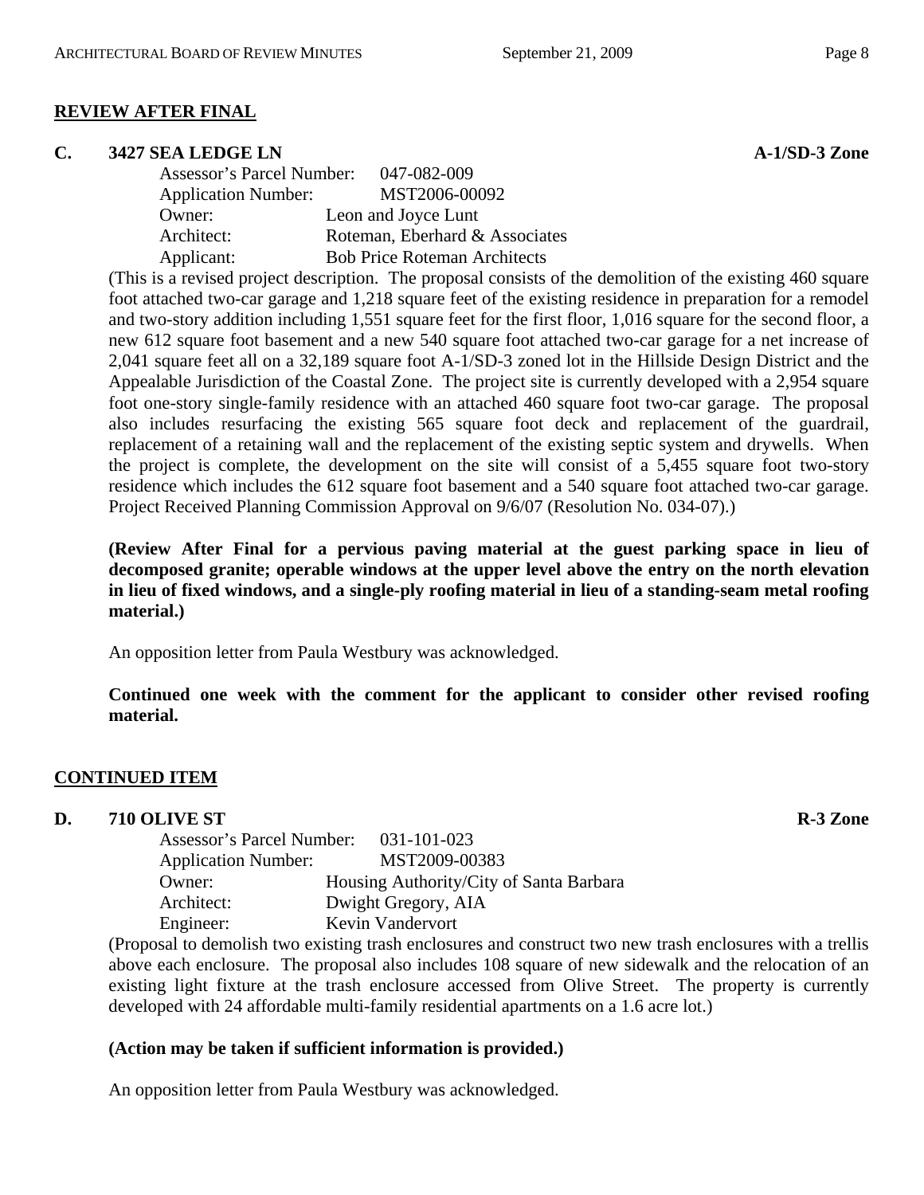### **REVIEW AFTER FINAL**

#### **C.** 3427 SEA LEDGE LN **A-1/SD-3** Zone

Assessor's Parcel Number: 047-082-009 Application Number: MST2006-00092 Owner: Leon and Joyce Lunt Architect: Roteman, Eberhard & Associates Applicant: Bob Price Roteman Architects

(This is a revised project description. The proposal consists of the demolition of the existing 460 square foot attached two-car garage and 1,218 square feet of the existing residence in preparation for a remodel and two-story addition including 1,551 square feet for the first floor, 1,016 square for the second floor, a new 612 square foot basement and a new 540 square foot attached two-car garage for a net increase of 2,041 square feet all on a 32,189 square foot A-1/SD-3 zoned lot in the Hillside Design District and the Appealable Jurisdiction of the Coastal Zone. The project site is currently developed with a 2,954 square foot one-story single-family residence with an attached 460 square foot two-car garage. The proposal also includes resurfacing the existing 565 square foot deck and replacement of the guardrail, replacement of a retaining wall and the replacement of the existing septic system and drywells. When the project is complete, the development on the site will consist of a 5,455 square foot two-story residence which includes the 612 square foot basement and a 540 square foot attached two-car garage. Project Received Planning Commission Approval on 9/6/07 (Resolution No. 034-07).)

**(Review After Final for a pervious paving material at the guest parking space in lieu of decomposed granite; operable windows at the upper level above the entry on the north elevation in lieu of fixed windows, and a single-ply roofing material in lieu of a standing-seam metal roofing material.)** 

An opposition letter from Paula Westbury was acknowledged.

**Continued one week with the comment for the applicant to consider other revised roofing material.** 

#### **CONTINUED ITEM**

**D.** 710 OLIVE ST R-3 Zone

| Assessor's Parcel Number: 031-101-023 |                                         |
|---------------------------------------|-----------------------------------------|
| <b>Application Number:</b>            | MST2009-00383                           |
| Owner:                                | Housing Authority/City of Santa Barbara |
| Architect:                            | Dwight Gregory, AIA                     |
| Engineer:                             | Kevin Vandervort                        |

(Proposal to demolish two existing trash enclosures and construct two new trash enclosures with a trellis above each enclosure. The proposal also includes 108 square of new sidewalk and the relocation of an existing light fixture at the trash enclosure accessed from Olive Street. The property is currently developed with 24 affordable multi-family residential apartments on a 1.6 acre lot.)

#### **(Action may be taken if sufficient information is provided.)**

An opposition letter from Paula Westbury was acknowledged.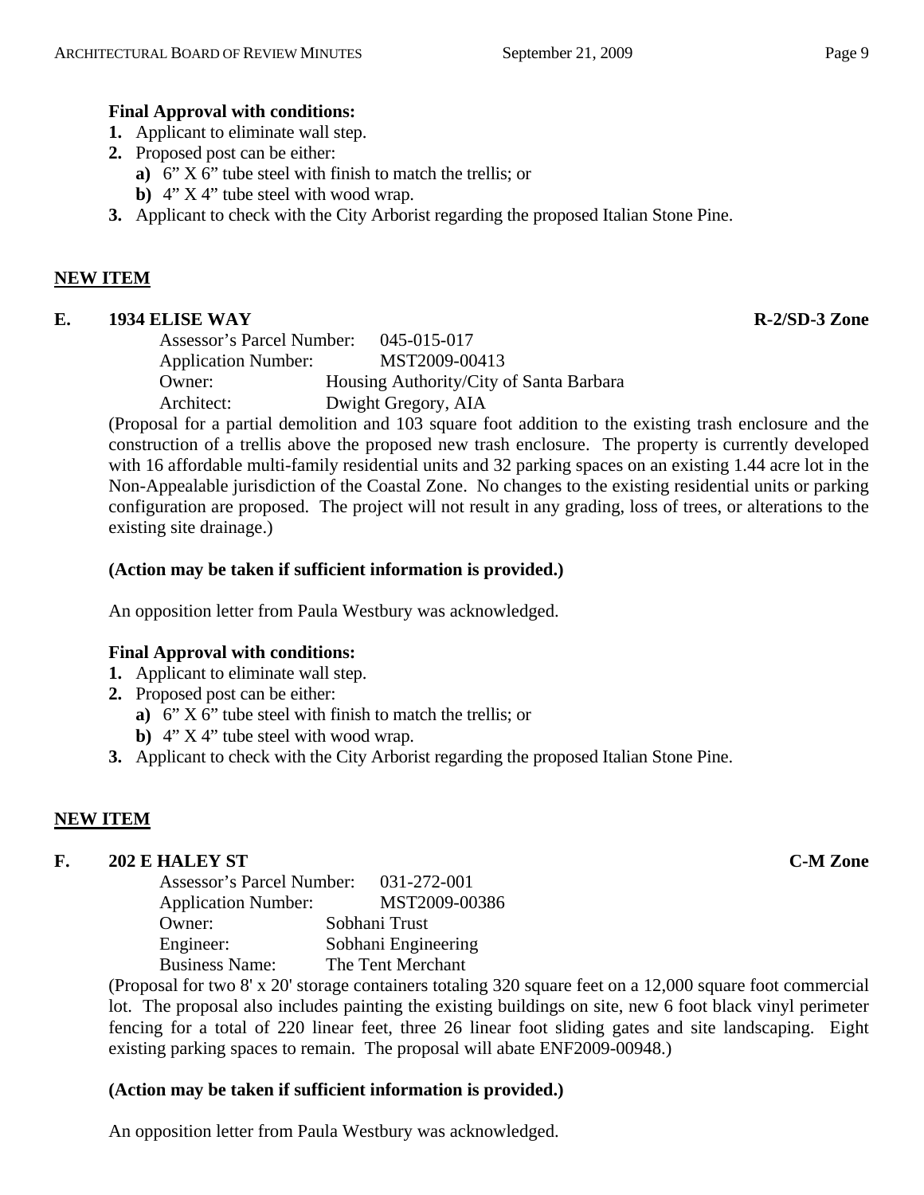# **Final Approval with conditions:**

- **1.** Applicant to eliminate wall step.
- **2.** Proposed post can be either:
	- **a)** 6" X 6" tube steel with finish to match the trellis; or
	- **b)** 4" X 4" tube steel with wood wrap.
- **3.** Applicant to check with the City Arborist regarding the proposed Italian Stone Pine.

# **NEW ITEM**

# **E. 1934 ELISE WAY R-2/SD-3 Zone**

| Assessor's Parcel Number:  | 045-015-017                             |
|----------------------------|-----------------------------------------|
| <b>Application Number:</b> | MST2009-00413                           |
| Owner:                     | Housing Authority/City of Santa Barbara |
| Architect:                 | Dwight Gregory, AIA                     |

(Proposal for a partial demolition and 103 square foot addition to the existing trash enclosure and the construction of a trellis above the proposed new trash enclosure. The property is currently developed with 16 affordable multi-family residential units and 32 parking spaces on an existing 1.44 acre lot in the Non-Appealable jurisdiction of the Coastal Zone. No changes to the existing residential units or parking configuration are proposed. The project will not result in any grading, loss of trees, or alterations to the existing site drainage.)

# **(Action may be taken if sufficient information is provided.)**

An opposition letter from Paula Westbury was acknowledged.

# **Final Approval with conditions:**

- **1.** Applicant to eliminate wall step.
- **2.** Proposed post can be either:
	- **a)** 6" X 6" tube steel with finish to match the trellis; or
	- **b)** 4" X 4" tube steel with wood wrap.
- **3.** Applicant to check with the City Arborist regarding the proposed Italian Stone Pine.

# **NEW ITEM**

# **F. 202 E HALEY ST C-M Zone**

| Assessor's Parcel Number:  | 031-272-001         |
|----------------------------|---------------------|
| <b>Application Number:</b> | MST2009-00386       |
| Owner:                     | Sobhani Trust       |
| Engineer:                  | Sobhani Engineering |
| <b>Business Name:</b>      | The Tent Merchant   |
|                            |                     |

(Proposal for two 8' x 20' storage containers totaling 320 square feet on a 12,000 square foot commercial lot. The proposal also includes painting the existing buildings on site, new 6 foot black vinyl perimeter fencing for a total of 220 linear feet, three 26 linear foot sliding gates and site landscaping. Eight existing parking spaces to remain. The proposal will abate ENF2009-00948.)

# **(Action may be taken if sufficient information is provided.)**

An opposition letter from Paula Westbury was acknowledged.